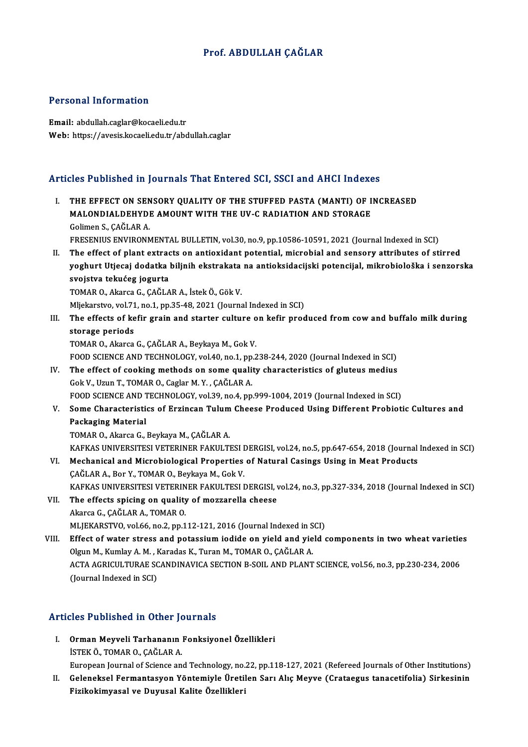### Prof. ABDULLAH CAĞLAR

### Personal Information

Email: abdulah.caglar@kocaeli.edu.tr Web: https://avesis.kocaeli.edu.tr/abdullah.caglar

### Articles Published in Journals That Entered SCI, SSCI and AHCI Indexes

Turnalistic of Published in Journals That Entered SCI, SSCI and AHCI Indexes<br>I. The Effect on Sensory QUALITY OF THE STUFFED PASTA (MANTI) OF INCREASED<br>MALONDIAL DEUVDE AMOUNT WITH THE IW C RADIATION AND STORACE MOTT WOMONG IN JOURNALD THAT ENTOT OF OUT, SOON AND THROMETHE EFFECT ON SENSORY QUALITY OF THE STUFFED PASTA (MANTI) OF I<br>MALONDIALDEHYDE AMOUNT WITH THE UV-C RADIATION AND STORAGE<br>Coliman S. CAČLAR A THE EFFECT ON SEN<br>MALONDIALDEHYDI<br>Golimen S., ÇAĞLAR A.<br>EPESENIUS ENVIRONA MALONDIALDEHYDE AMOUNT WITH THE UV-C RADIATION AND STORAGE<br>Golimen S., ÇAĞLAR A.<br>FRESENIUS ENVIRONMENTAL BULLETIN, vol.30, no.9, pp.10586-10591, 2021 (Journal Indexed in SCI) II. The effect of plant extracts on antioxidant potential, microbial and sensory attributes of stirred FRESENIUS ENVIRONMENTAL BULLETIN, vol.30, no.9, pp.10586-10591, 2021 (Journal Indexed in SCI)<br>The effect of plant extracts on antioxidant potential, microbial and sensory attributes of stirred<br>yoghurt Utjecaj dodatka biljn The effect of plant extrac<br>yoghurt Utjecaj dodatka<br>svojstva tekućeg jogurta<br>TOMAR O. Almres G. GAČLA yoghurt Utjecaj dodatka biljnih ekstrakata<br>svojstva tekućeg jogurta<br>TOMAR 0., Akarca G., ÇAĞLAR A., İstek Ö., Gök V.<br>Mliekarstva val 71 na 1 nn 25 48 2021 (Jaunna svojstva tekućeg jogurta<br>TOMAR O., Akarca G., ÇAĞLAR A., İstek Ö., Gök V.<br>Mljekarstvo, vol.71, no.1, pp.35-48, 2021 (Journal Indexed in SCI)<br>The effects of kafir spain and starter sulture on kafir pred TOMAR O., Akarca G., ÇAĞLAR A., İstek Ö., Gök V.<br>Mljekarstvo, vol.71, no.1, pp.35-48, 2021 (Journal Indexed in SCI)<br>III. The effects of kefir grain and starter culture on kefir produced from cow and buffalo milk during Mljekarstvo, vol.71<br>The effects of ke<br>storage periods<br>TOMAP O Almre TOMAR O., Akarca G., ÇAĞLAR A., Beykaya M., Gok V. storage periods<br>TOMAR O., Akarca G., ÇAĞLAR A., Beykaya M., Gok V.<br>FOOD SCIENCE AND TECHNOLOGY, vol.40, no.1, pp.238-244, 2020 (Journal Indexed in SCI)<br>The effect of seeking methods on some quality shanesteristics of gluto TOMAR O., Akarca G., ÇAĞLAR A., Beykaya M., Gok V.<br>FOOD SCIENCE AND TECHNOLOGY, vol.40, no.1, pp.238-244, 2020 (Journal Indexed in SCI)<br>IV. The effect of cooking methods on some quality characteristics of gluteus medius<br>Co FOOD SCIENCE AND TECHNOLOGY, vol.40, no.1, pp.<br>The effect of cooking methods on some qualit<br>Gok V., Uzun T., TOMAR O., Caglar M.Y. , ÇAĞLAR A.<br>FOOD SCIENCE AND TECHNOLOGY vol.39 no.4 nn IV. The effect of cooking methods on some quality characteristics of gluteus medius<br>Gok V., Uzun T., TOMAR O., Caglar M.Y., ÇAĞLAR A.<br>FOOD SCIENCE AND TECHNOLOGY, vol.39, no.4, pp.999-1004, 2019 (Journal Indexed in SCI) Gok V., Uzun T., TOMAR O., Caglar M. Y. , ÇAĞLAR A.<br>FOOD SCIENCE AND TECHNOLOGY, vol.39, no.4, pp.999-1004, 2019 (Journal Indexed in SCI)<br>V. Some Characteristics of Erzincan Tulum Cheese Produced Using Different Probio Packaging Material<br>TOMAR O., Akarca G., Beykaya M., ÇAĞLAR A. Some Characteristics of Erzincan Tulum<br>Packaging Material<br>TOMAR O., Akarca G., Beykaya M., ÇAĞLAR A.<br>KARKAS UNIVERSITESI VETERINER FAKULTI KAFKAS UNIVERSITESI VETERINER FAKULTESI DERGISI, vol.24, no.5, pp.647-654, 2018 (Journal Indexed in SCI) TOMAR O., Akarca G., Beykaya M., ÇAĞLAR A.<br>KAFKAS UNIVERSITESI VETERINER FAKULTESI DERGISI, vol.24, no.5, pp.647-654, 2018 (Journal<br>VI. Mechanical and Microbiological Properties of Natural Casings Using in Meat Products<br>CA KAFKAS UNIVERSITESI VETERINER FAKULTESI I<br>Mechanical and Microbiological Properties<br>ÇAĞLAR A., Bor Y., TOMAR O., Beykaya M., Gok V.<br>KAEKAS UNIVERSITESI VETERINER FAKULTESI I Mechanical and Microbiological Properties of Natural Casings Using in Meat Products<br>ÇAĞLAR A., Bor Y., TOMAR O., Beykaya M., Gok V.<br>KAFKAS UNIVERSITESI VETERINER FAKULTESI DERGISI, vol.24, no.3, pp.327-334, 2018 (Journal I CAĞLAR A., Bor Y., TOMAR O., Beykaya M., Gok V.<br>KAFKAS UNIVERSITESI VETERINER FAKULTESI DERGISI, v<br>VII. The effects spicing on quality of mozzarella cheese KAFKAS UNIVERSITESI VETERIN<br>The effects spicing on quality<br>Akarca G., ÇAĞLAR A., TOMAR O.<br>MLIEKARSTVO val 66 no 2 nn 1 The effects spicing on quality of mozzarella cheese<br>Akarca G., ÇAĞLAR A., TOMAR O.<br>MLJEKARSTVO, vol.66, no.2, pp.112-121, 2016 (Journal Indexed in SCI)<br>Effect of water strees and potessium indide an wield and wield Akarca G., ÇAĞLAR A., TOMAR O.<br>MLJEKARSTVO, vol.66, no.2, pp.112-121, 2016 (Journal Indexed in SCI)<br>VIII. Effect of water stress and potassium iodide on yield and yield components in two wheat varieties<br>Olgun M. Kumlay A.M MLJEKARSTVO, vol.66, no.2, pp.112-121, 2016 (Journal Indexed in State of water stress and potassium iodide on yield and yield and yield and yield and yield and yield and yield and yield and yield and stress and potassium i Effect of water stress and potassium iodide on yield and yield components in two wheat varietie<br>Olgun M., Kumlay A. M. , Karadas K., Turan M., TOMAR O., ÇAĞLAR A.<br>ACTA AGRICULTURAE SCANDINAVICA SECTION B-SOIL AND PLANT SCI Olgun M., Kumlay A. M. , Karadas K., Turan M., TOMAR O., ÇAĞLAR A.<br>ACTA AGRICULTURAE SCANDINAVICA SECTION B-SOIL AND PLANT SCIENCE, vol.56, no.3, pp.230-234, 2006<br>(Journal Indexed in SCI)

### Articles Published in Other Journals

rticles Published in Other Journals<br>I. Orman Meyveli Tarhananın Fonksiyonel Özellikleri<br>İSTEKÖ TOMAR O CAČLAR A ISTEK Ö., TOMAR O., ÇAĞLAR A.<br>İSTEK Ö., TOMAR O., ÇAĞLAR A.<br>European Journal of Science an Orman Meyveli Tarhananın Fonksiyonel Özellikleri<br>İSTEK Ö., TOMAR O., ÇAĞLAR A.<br>European Journal of Science and Technology, no.22, pp.118-127, 2021 (Refereed Journals of Other Institutions)<br>Celeneksel Fermantasyon Vöntemiyl

ISTEK Ö., TOMAR O., ÇAĞLAR A.<br>European Journal of Science and Technology, no.22, pp.118-127, 2021 (Refereed Journals of Other Institutions)<br>II. Geleneksel Fermantasyon Yöntemiyle Üretilen Sarı Alıç Meyve (Crataegus tanacet II. Geleneksel Fermantasyon Yöntemiyle Üretilen Sarı Alıç Meyve (Crataegus tanacetifolia) Sirkesinin<br>Fizikokimyasal ve Duyusal Kalite Özellikleri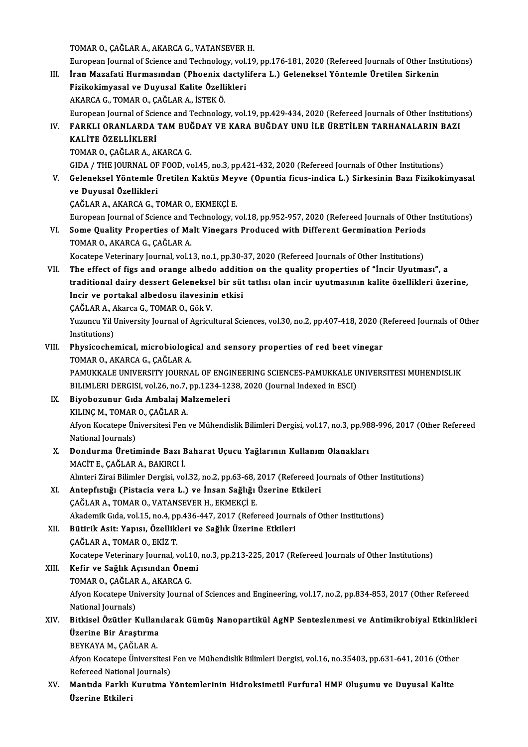TOMARO.,ÇAĞLARA.,AKARCAG.,VATANSEVERH.

TOMAR O., ÇAĞLAR A., AKARCA G., VATANSEVER H.<br>European Journal of Science and Technology, vol.19, pp.176-181, 2020 (Refereed Journals of Other Institutions)<br>İnan Marafati Hunmasından (Bhaaniy dastylifana J.) Calanakaal Vön TOMAR O., ÇAĞLAR A., AKARCA G., VATANSEVER H.<br>European Journal of Science and Technology, vol.19, pp.176-181, 2020 (Refereed Journals of Other Inst<br>III. Iran Mazafati Hurmasından (Phoenix dactylifera L.) Geleneksel Yönteml European Journal of Science and Technology, vol.<br>İran Mazafati Hurmasından (Phoenix dactyl<br>Fizikokimyasal ve Duyusal Kalite Özellikleri<br>AKARCA G. TOMAR O. GAČLAR A. İSTEKÖ III. İran Mazafati Hurmasından (Phoenix dactylifera L.) Geleneksel Yöntemle Üretilen Sirkenin<br>Fizikokimyasal ve Duyusal Kalite Özellikleri<br>AKARCA G., TOMAR O., ÇAĞLAR A., İSTEK Ö.

European Journal of Science and Technology, vol.19, pp.429-434, 2020 (Refereed Journals of Other Institutions)

AKARCA G., TOMAR O., ÇAĞLAR A., İSTEK Ö.<br>European Journal of Science and Technology, vol.19, pp.429-434, 2020 (Refereed Journals of Other Institution<br>IV. FARKLI ORANLARDA TAM BUĞDAY VE KARA BUĞDAY UNU İLE ÜRETİLEN TARH European Journal of Scie<br>FARKLI ORANLARDA<br>KALİTE ÖZELLİKLERİ<br>TOMAR O-CAČLAR A-A FARKLI ORANLARDA TAM BUČ<br>KALİTE ÖZELLİKLERİ<br>TOMAR O., ÇAĞLAR A., AKARCA G.<br>CIDA / THE JOUPNAL OF FOOD. 17

KALİTE ÖZELLİKLERİ<br>TOMAR O., ÇAĞLAR A., AKARCA G.<br>GIDA / THE JOURNAL OF FOOD, vol.45, no.3, pp.421-432, 2020 (Refereed Journals of Other Institutions)<br>Celeneksel Yöntemle Üretilen Kektüs Mayye (Opuntia fiave indice L.) Sir

TOMAR O., ÇAĞLAR A., AKARCA G.<br>GIDA / THE JOURNAL OF FOOD, vol.45, no.3, pp.421-432, 2020 (Refereed Journals of Other Institutions)<br>V. Geleneksel Yöntemle Üretilen Kaktüs Meyve (Opuntia ficus-indica L.) Sirkesinin Bazı GIDA / THE JOURNAL OF<br>Geleneksel Yöntemle (<br>ve Duyusal Özellikleri<br>SAČLAB A AKABCA S-T Geleneksel Yöntemle Üretilen Kaktüs Mey<br>ve Duyusal Özellikleri<br>ÇAĞLAR A., AKARCA G., TOMAR O., EKMEKÇİ E.<br>European Journal of Sciance and Technology v

ve Duyusal Özellikleri<br>ÇAĞLAR A., AKARCA G., TOMAR O., EKMEKÇİ E.<br>European Journal of Science and Technology, vol.18, pp.952-957, 2020 (Refereed Journals of Other Institutions)<br>Seme Quality Preperties of Melt Vinegars Pred

CAĞLAR A., AKARCA G., TOMAR O., EKMEKÇİ E.<br>European Journal of Science and Technology, vol.18, pp.952-957, 2020 (Refereed Journals of Other<br>VI. Some Quality Properties of Malt Vinegars Produced with Different Germination P European Journal of Science and T<br>Some Quality Properties of Ma<br>TOMAR O., AKARCA G., ÇAĞLAR A.<br>Kosatane Veterinary Journal vol 1 VI. Some Quality Properties of Malt Vinegars Produced with Different Germination Periods<br>TOMAR O., AKARCA G., ÇAĞLAR A.<br>Kocatepe Veterinary Journal, vol.13, no.1, pp.30-37, 2020 (Refereed Journals of Other Institutions)

VII. The effect of figs and orange albedo addition on the quality properties of "İncir Uyutması", a Kocatepe Veterinary Journal, vol.13, no.1, pp.30-37, 2020 (Refereed Journals of Other Institutions)<br>The effect of figs and orange albedo addition on the quality properties of "İncir Uyutması", a<br>traditional dairy dessert G The effect of figs and orange albedo addition<br>traditional dairy dessert Geleneksel bir süt<br>Incir ve portakal albedosu ilavesinin etkisi<br>SAČLAR A Almre G TOMAR O GältV traditional dairy dessert Gelenekse<br>Incir ve portakal albedosu ilavesini<br>ÇAĞLAR A., Akarca G., TOMAR 0., Gök V.<br>Yuzuncu Vil University Journal of Asriqu

CAĞLAR A., Akarca G., TOMAR O., Gök V.

Incir ve portakal albedosu ilavesinin etkisi<br>ÇAĞLAR A., Akarca G., TOMAR O., Gök V.<br>Yuzuncu Yil University Journal of Agricultural Sciences, vol.30, no.2, pp.407-418, 2020 (Refereed Journals of Other<br>Institutions) Yuzuncu Yil University Journal of Agricultural Sciences, vol.30, no.2, pp.407-418, 2020 (I<br>Institutions)<br>VIII. Physicochemical, microbiological and sensory properties of red beet vinegar<br>TOMAR O, AKARCA C, CAČI AR A

## Institutions)<br><mark>Physicochemical, microbiologi</mark><br>TOMAR O., AKARCA G., ÇAĞLAR A.<br>PAMIKKALE UNIVERSITY IOURNA

Physicochemical, microbiological and sensory properties of red beet vinegar<br>TOMAR O., AKARCA G., ÇAĞLAR A.<br>PAMUKKALE UNIVERSITY JOURNAL OF ENGINEERING SCIENCES-PAMUKKALE UNIVERSITESI MUHENDISLIK<br>PILIMI EPLDERCISL VOL26, no TOMAR O., AKARCA G., ÇAĞLAR A.<br>PAMUKKALE UNIVERSITY JOURNAL OF ENGINEERING SCIENCES-PAMUKKALE U<br>BILIMLERI DERGISI, vol.26, no.7, pp.1234-1238, 2020 (Journal Indexed in ESCI)<br>Biyobozunur Cıda Ambalai Malzamalari BILIMLERI DERGISI, vol.26, no.7, pp.1234-1238, 2020 (Journal Indexed in ESCI)

IX. Biyobozunur Gıda Ambalaj Malzemeleri KILINÇ M., TOMAR O., ÇAĞLAR A.

Afyon Kocatepe Üniversitesi Fen ve Mühendislik Bilimleri Dergisi, vol.17, no.3, pp.988-996, 2017 (Other Refereed<br>National Journals) Afyon Kocatepe Üniversitesi Fen ve Mühendislik Bilimleri Dergisi, vol.17, no.3, pp.98<br>National Journals)<br>X. Dondurma Üretiminde Bazı Baharat Uçucu Yağlarının Kullanım Olanakları<br>MACİTE CAČLARA BAKIRCI İ

National Journals)<br>Dondurma Üretiminde Bazı E<br>MACİT E., ÇAĞLAR A., BAKIRCI İ.<br>Alıntori Zirai Bilimler Dergisi vel MACİT E., ÇAĞLAR A., BAKIRCI İ.<br>Alınteri Zirai Bilimler Dergisi, vol.32, no.2, pp.63-68, 2017 (Refereed Journals of Other Institutions)

MACİT E., ÇAĞLAR A., BAKIRCI İ.<br>Alınteri Zirai Bilimler Dergisi, vol.32, no.2, pp.63-68, 2017 (Refereed Jo<br>XI. Antepfıstığı (Pistacia vera L.) ve İnsan Sağlığı Üzerine Etkileri<br>GAĞLAR A. TOMAR O. VATANSEVER H. EKMEKÇI E. Alınteri Zirai Bilimler Dergisi, vol.32, no.2, pp.63-68, ;<br>Antepfıstığı (Pistacia vera L.) ve İnsan Sağlığı<br>ÇAĞLAR A., TOMAR O., VATANSEVER H., EKMEKÇİ E.<br>Alradamil: Cıda val 15 no.4 nn.426,447,2017 (Rafa ÇAĞLAR A., TOMAR O., VATANSEVER H., EKMEKÇİ E.<br>Akademik Gıda, vol.15, no.4, pp.436-447, 2017 (Refereed Journals of Other Institutions)

XII. Bütirik Asit: Yapısı, Özellikleri ve Sağlık Üzerine Etkileri Akademik Gıda, vol.15, no.4, p<sub>l</sub><br>Bütirik Asit: Yapısı, Özellikl<br>ÇAĞLAR A., TOMAR O., EKİZ T.<br>Kosatana Veterinary Jaurnal v

Bütirik Asit: Yapısı, Özellikleri ve Sağlık Üzerine Etkileri<br>ÇAĞLAR A., TOMAR O., EKİZ T.<br>Kocatepe Veterinary Journal, vol.10, no.3, pp.213-225, 2017 (Refereed Journals of Other Institutions)<br>Kofir ve Sağlık Asısından Önem

CAĞLAR A., TOMAR O., EKİZ T.<br>Kocatepe Veterinary Journal, vol.10,<br>XIII. Kefir ve Sağlık Açısından Önemi Kocatepe Veterinary Journal, vol.1<br>Kefir ve Sağlık Açısından Önen<br>TOMAR O., ÇAĞLAR A., AKARCA G.<br>Afvon Kosatana University Journal Kefir ve Sağlık Açısından Önemi<br>TOMAR O., ÇAĞLAR A., AKARCA G.<br>Afyon Kocatepe University Journal of Sciences and Engineering, vol.17, no.2, pp.834-853, 2017 (Other Refereed<br>National Journals) TOMAR O., CAĞLAR A., AKARCA G. Afyon Kocatepe University Journal of Sciences and Engineering, vol.17, no.2, pp.834-853, 2017 (Other Refereed<br>National Journals)<br>XIV. Bitkisel Özütler Kullanılarak Gümüş Nanopartikül AgNP Sentezlenmesi ve Antimikrobiya

### National Journals)<br>Bitkisel Özütler Kullan<br>Üzerine Bir Araştırma<br>PEVKAVA M. CAČLAR A Bitkisel Özütler Kullan<br>Üzerine Bir Araştırma<br>BEYKAYA M., ÇAĞLAR A.<br>Afvan Kasatana Üniversi

Üzerine Bir Araştırma<br>BEYKAYA M., ÇAĞLAR A.<br>Afyon Kocatepe Üniversitesi Fen ve Mühendislik Bilimleri Dergisi, vol.16, no.35403, pp.631-641, 2016 (Other<br>Refereed National Jaurnale) BEYKAYA M., ÇAĞLAR A.<br>Afyon Kocatepe Üniversitesi<br>Refereed National Journals)<br>Mantida Farklı Kurutma N Afyon Kocatepe Üniversitesi Fen ve Mühendislik Bilimleri Dergisi, vol.16, no.35403, pp.631-641, 2016 (Othe<br>Refereed National Journals)<br>XV. Mantıda Farklı Kurutma Yöntemlerinin Hidroksimetil Furfural HMF Oluşumu ve Duyu

Refereed Nationa<br><mark>Mantıda Farklı</mark><br><mark>Üzerine Etkileri</mark>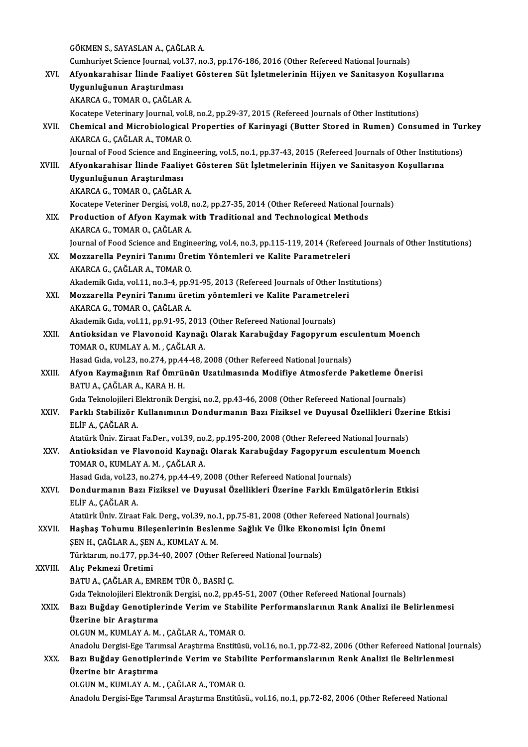GÖKMEN S., SAYASLAN A., ÇAĞLAR A. GÖKMEN S., SAYASLAN A., ÇAĞLAR A.<br>Cumhuriyet Science Journal, vol.37, no.3, pp.176-186, 2016 (Other Refereed National Journals)<br>Afvonkanshisar İlinde Feeliyet Göstanen Süt İslatmalerinin Hiiyen ve Sanitesyan Kes GÖKMEN S., SAYASLAN A., ÇAĞLAR A.<br>Cumhuriyet Science Journal, vol.37, no.3, pp.176-186, 2016 (Other Refereed National Journals)<br>XVI. Afyonkarahisar İlinde Faaliyet Gösteren Süt İşletmelerinin Hijyen ve Sanitasyon Koşul Cumhuriyet Science Journal, vol.<br>Afyonkarahisar İlinde Faaliy<br>Uygunluğunun Araştırılması<br>AKARCA G. TOMAR O. GAĞLAR Afyonkarahisar İlinde Faaliyet<br>Uygunluğunun Araştırılması<br>AKARCA G., TOMAR O., ÇAĞLAR A.<br>Kosatana Vetarinary Jaurnal val 8 Uygunluğunun Araştırılması<br>AKARCA G., TOMAR O., ÇAĞLAR A.<br>Kocatepe Veterinary Journal, vol.8, no.2, pp.29-37, 2015 (Refereed Journals of Other Institutions) AKARCA G., TOMAR O., ÇAĞLAR A.<br>Kocatepe Veterinary Journal, vol.8, no.2, pp.29-37, 2015 (Refereed Journals of Other Institutions)<br>XVII. Chemical and Microbiological Properties of Karinyagi (Butter Stored in Rumen) Consumed Kocatepe Veterinary Journal, vol.8<br>Chemical and Microbiological<br>AKARCA G., ÇAĞLAR A., TOMAR O.<br>Journal of Food Science and Engin Chemical and Microbiological Properties of Karinyagi (Butter Stored in Rumen) Consumed in Tui<br>AKARCA G., ÇAĞLAR A., TOMAR O.<br>Journal of Food Science and Engineering, vol.5, no.1, pp.37-43, 2015 (Refereed Journals of Other AKARCA G., ÇAĞLAR A., TOMAR O.<br>Journal of Food Science and Engineering, vol.5, no.1, pp.37-43, 2015 (Refereed Journals of Other Instituti<br>XVIII. Afyonkarahisar İlinde Faaliyet Gösteren Süt İşletmelerinin Hijyen ve Sani Journal of Food Science and Eng<br>Afyonkarahisar İlinde Faaliy<br>Uygunluğunun Araştırılması<br>AKABCA C. TOMAB O. CAČLAB Afyonkarahisar İlinde Faaliyet<br>Uygunluğunun Araştırılması<br>AKARCA G., TOMAR O., ÇAĞLAR A.<br>Kosatane Veteriner Dersisi vel 8. Uygunluğunun Araştırılması<br>AKARCA G., TOMAR O., ÇAĞLAR A.<br>Kocatepe Veteriner Dergisi, vol.8, no.2, pp.27-35, 2014 (Other Refereed National Journals) AKARCA G., TOMAR O., ÇAĞLAR A.<br>Kocatepe Veteriner Dergisi, vol.8, no.2, pp.27-35, 2014 (Other Refereed National Journal Methods<br>XIX. Production of Afyon Kaymak with Traditional and Technological Methods Kocatepe Veteriner Dergisi, vol.8, i<br>Production of Afyon Kaymak v<br>AKARCA G., TOMAR O., ÇAĞLAR A.<br>Journal of Food Science and Engin Production of Afyon Kaymak with Traditional and Technological Methods<br>AKARCA G., TOMAR O., ÇAĞLAR A.<br>Journal of Food Science and Engineering, vol.4, no.3, pp.115-119, 2014 (Refereed Journals of Other Institutions)<br>Megganel AKARCA G., TOMAR O., ÇAĞLAR A.<br>Journal of Food Science and Engineering, vol.4, no.3, pp.115-119, 2014 (Refere<br>XX. Mozzarella Peyniri Tanımı Üretim Yöntemleri ve Kalite Parametreleri<br>AKARCA G., CAĞLAR A., TOMAR O. Journal of Food Science and Engin<br>Mozzarella Peyniri Tanımı Üre<br>AKARCA G., ÇAĞLAR A., TOMAR O.<br>Akademik Cıda val 11 no 3 4 nn G Akademik Gıda, vol.11, no.3-4, pp.91-95, 2013 (Refereed Journals of Other Institutions) AKARCA G., ÇAĞLAR A., TOMAR O.<br>Akademik Gıda, vol.11, no.3-4, pp.91-95, 2013 (Refereed Journals of Other Inst<br>XXI. Mozzarella Peyniri Tanımı üretim yöntemleri ve Kalite Parametreleri Akademik Gıda, vol.11, no.3-4, pp.9<br>Mozzarella Peyniri Tanımı üre<br>AKARCA G., TOMAR O., ÇAĞLAR A.<br>Akademik Gıda vol.11, np.91,95, 2 Mozzarella Peyniri Tanımı üretim yöntemleri ve Kalite Parametrel<br>AKARCA G., TOMAR O., ÇAĞLAR A.<br>Akademik Gıda, vol.11, pp.91-95, 2013 (Other Refereed National Journals)<br>Antioksidan ve Elavonaid Kaynağı Olarak Karabuğday Fa AKARCA G., TOMAR O., ÇAĞLAR A.<br>Akademik Gıda, vol.11, pp.91-95, 2013 (Other Refereed National Journals)<br>XXII. Antioksidan ve Flavonoid Kaynağı Olarak Karabuğday Fagopyrum esculentum Moench<br>TOMAR O. KUMLAY A.M., CAĞLAR Akademik Gıda, vol.11, pp.91-95, 2013 (Other Refereed National Journals)<br>Antioksidan ve Flavonoid Kaynağı Olarak Karabuğday Fagopyrum esc<br>TOMAR O., KUMLAY A. M. , ÇAĞLAR A.<br>Hasad Gıda, vol.23, no.274, pp.44-48, 2008 (Other Antioksidan ve Flavonoid Kaynağı Olarak Karabuğday Fagopyrum esc<br>TOMAR O., KUMLAY A. M. , ÇAĞLAR A.<br>Hasad Gıda, vol.23, no.274, pp.44-48, 2008 (Other Refereed National Journals)<br>Afyan Kaymağının Paf Ömrünün Uzatılmasında M TOMAR O., KUMLAY A. M. , ÇAĞLAR A.<br>Hasad Gıda, vol.23, no.274, pp.44-48, 2008 (Other Refereed National Journals)<br>XXIII. Afyon Kaymağının Raf Ömrünün Uzatılmasında Modifiye Atmosferde Paketleme Önerisi Hasad Gıda, vol.23, no.274, pp.44<br><mark>Afyon Kaymağının Raf Ömrü</mark><br>BATU A., ÇAĞLAR A., KARA H. H.<br>Cıda Telmalailleri Flektrenik Del Afyon Kaymağının Raf Ömrünün Uzatılmasında Modifiye Atmosferde Paketleme Öne<br>BATU A., ÇAĞLAR A., KARA H. H.<br>Gıda Teknolojileri Elektronik Dergisi, no.2, pp.43-46, 2008 (Other Refereed National Journals)<br>Farklı Stabilizör K BATU A., ÇAĞLAR A., KARA H. H.<br>Gıda Teknolojileri Elektronik Dergisi, no.2, pp.43-46, 2008 (Other Refereed National Journals)<br>XXIV. Farklı Stabilizör Kullanımının Dondurmanın Bazı Fiziksel ve Duyusal Özellikleri Üzerin Gıda Teknolojileri E<br>Farklı Stabilizör<br>ELİF A., ÇAĞLAR A.<br>Atatürk Üniv. Zirost Farklı Stabilizör Kullanımının Dondurmanın Bazı Fiziksel ve Duyusal Özellikleri Üzeı<br>ELİF A., ÇAĞLAR A.<br>Atatürk Üniv. Ziraat Fa.Der., vol.39, no.2, pp.195-200, 2008 (Other Refereed National Journals)<br>Antioksiden ve Flaveno ELİF A., ÇAĞLAR A.<br>Atatürk Üniv. Ziraat Fa.Der., vol.39, no.2, pp.195-200, 2008 (Other Refereed National Journals)<br>XXV. Antioksidan ve Flavonoid Kaynağı Olarak Karabuğday Fagopyrum esculentum Moench<br>TOMAR O. KUMLAY A.M Atatürk Üniv. Ziraat Fa.Der., vol.39, no<br>**Antioksidan ve Flavonoid Kaynağ**<br>TOMAR O., KUMLAY A. M. , ÇAĞLAR A.<br>Hasad Cida val <sup>32</sup>, no <sup>274</sup>, nn 44,49, *î* Antioksidan ve Flavonoid Kaynağı Olarak Karabuğday Fagopyrum esc<br>TOMAR O., KUMLAY A. M. , ÇAĞLAR A.<br>Hasad Gıda, vol.23, no.274, pp.44-49, 2008 (Other Refereed National Journals)<br>Dondunmanın Barı Eirikool ve Duyusel Örellik TOMAR O., KUMLAY A. M. , ÇAĞLAR A.<br>Hasad Gıda, vol.23, no.274, pp.44-49, 2008 (Other Refereed National Journals)<br>XXVI. Dondurmanın Bazı Fiziksel ve Duyusal Özellikleri Üzerine Farklı Emülgatörlerin Etkisi Hasad Gıda, vol.23,<br><mark>Dondurmanın Ba</mark><br>ELİF A., ÇAĞLAR A.<br>Atatürk Üniv. Zinast Dondurmanın Bazı Fiziksel ve Duyusal Özellikleri Üzerine Farklı Emülgatörlerin Etki<br>ELİF A., ÇAĞLAR A.<br>Atatürk Üniv. Ziraat Fak. Derg., vol.39, no.1, pp.75-81, 2008 (Other Refereed National Journals)<br>Hashas Tohumu Bilosonl ELİF A., ÇAĞLAR A.<br>Atatürk Üniv. Ziraat Fak. Derg., vol.39, no.1, pp.75-81, 2008 (Other Refereed National Jou<br>XXVII. Haşhaş Tohumu Bileşenlerinin Beslenme Sağlık Ve Ülke Ekonomisi İçin Önemi Atatürk Üniv. Ziraat Fak. Derg., vol.39, no.:<br>Haşhaş Tohumu Bileşenlerinin Besle:<br>ŞEN H., ÇAĞLAR A., ŞEN A., KUMLAY A. M.<br>Türktarım no.177, nn.34.40, 2007 (Other Haşhaş Tohumu Bileşenlerinin Beslenme Sağlık Ve Ülke Ekono:<br>ŞEN H., ÇAĞLAR A., ŞEN A., KUMLAY A. M.<br>Türktarım, no.177, pp.34-40, 2007 (Other Refereed National Journals)<br>Alıç Pokmeri Üretimi ŞEN H., ÇAĞLAR A., ŞEN A., KUMLAY A. M.<br>Türktarım, no.177, pp.34-40, 2007 (Other Ref<br>XXVIII. Alıç Pekmezi Üretimi<br>BATU A., ÇAĞLAR A., EMREM TÜR Ö., BASRİ Ç. Türktarım, no.177, pp.34-40, 2007 (Other Refereed National Journals) Alıç Pekmezi Üretimi<br>BATU A., ÇAĞLAR A., EMREM TÜR Ö., BASRİ Ç.<br>Gıda Teknolojileri Elektronik Dergisi, no.2, pp.45-51, 2007 (Other Refereed National Journals)<br>Bazı Buğday Genetinlerinde Verim ve Stabilite Berfermanelarının BATU A., ÇAĞLAR A., EMREM TÜR Ö., BASRİ Ç.<br>Gıda Teknolojileri Elektronik Dergisi, no.2, pp.45-51, 2007 (Other Refereed National Journals)<br>XXIX. Bazı Buğday Genotiplerinde Verim ve Stabilite Performanslarının Rank Anali Gıda Teknolojileri Elektro<br>Bazı Buğday Genotiple<br>Üzerine bir Araştırma<br>OLCUN M. KUMLAY A M Bazı Buğday Genotiplerinde Verim ve Stabil<br>Üzerine bir Araştırma<br>OLGUN M., KUMLAY A. M. , ÇAĞLAR A., TOMAR O.<br>Anadalu Dengisi Ege Tenumaal Arastuma Enstitüsi Üzerine bir Araştırma<br>OLGUN M., KUMLAY A. M. , ÇAĞLAR A., TOMAR O.<br>Anadolu Dergisi-Ege Tarımsal Araştırma Enstitüsü, vol.16, no.1, pp.72-82, 2006 (Other Refereed National Journals) OLGUN M., KUMLAY A. M. , ÇAĞLAR A., TOMAR O.<br>Anadolu Dergisi-Ege Tarımsal Araştırma Enstitüsü, vol.16, no.1, pp.72-82, 2006 (Other Refereed National Jo<br>XXX. Bazı Buğday Genotiplerinde Verim ve Stabilite Performanslarının R Anadolu Dergisi-Ege Tarı<br>Bazı Buğday Genotiple<br>Üzerine bir Araştırma<br>OLCUN M. KUMLAY A M Bazı Buğday Genotiplerinde Verim ve Stabil<br>Üzerine bir Araştırma<br>OLGUN M., KUMLAY A. M. , ÇAĞLAR A., TOMAR O.<br>Anadalu Dangisi Ega Tanımasl Arastırma Enstitüsi Üzerine bir Araştırma<br>OLGUN M., KUMLAY A. M. , ÇAĞLAR A., TOMAR O.<br>Anadolu Dergisi-Ege Tarımsal Araştırma Enstitüsü., vol.16, no.1, pp.72-82, 2006 (Other Refereed National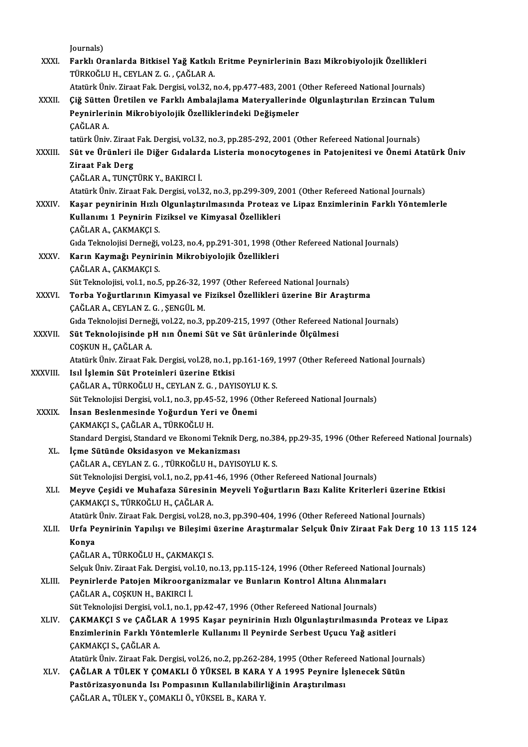| XXXI.        | Journals)<br>Farklı Oranlarda Bitkisel Yağ Katkılı Eritme Peynirlerinin Bazı Mikrobiyolojik Özellikleri                                                                           |
|--------------|-----------------------------------------------------------------------------------------------------------------------------------------------------------------------------------|
|              | TÜRKOĞLU H., CEYLAN Z. G., ÇAĞLAR A.                                                                                                                                              |
|              | Atatürk Üniv. Ziraat Fak. Dergisi, vol.32, no.4, pp.477-483, 2001 (Other Refereed National Journals)                                                                              |
| XXXII.       | Çiğ Sütten Üretilen ve Farklı Ambalajlama Materyallerinde Olgunlaştırılan Erzincan Tulum                                                                                          |
|              | Peynirlerinin Mikrobiyolojik Özelliklerindeki Değişmeler                                                                                                                          |
|              | ÇAĞLAR A.                                                                                                                                                                         |
|              | tatürk Üniv. Ziraat Fak. Dergisi, vol.32, no.3, pp.285-292, 2001 (Other Refereed National Journals)                                                                               |
| XXXIII.      | Süt ve Ürünleri ile Diğer Gıdalarda Listeria monocytogenes in Patojenitesi ve Önemi Atatürk Üniv                                                                                  |
|              | <b>Ziraat Fak Derg</b>                                                                                                                                                            |
|              | ÇAĞLAR A., TUNÇTÜRK Y., BAKIRCI İ.                                                                                                                                                |
|              | Atatürk Üniv. Ziraat Fak. Dergisi, vol.32, no.3, pp.299-309, 2001 (Other Refereed National Journals)                                                                              |
| <b>XXXIV</b> | Kaşar peynirinin Hızlı Olgunlaştırılmasında Proteaz ve Lipaz Enzimlerinin Farklı Yöntemlerle                                                                                      |
|              | Kullanımı 1 Peynirin Fiziksel ve Kimyasal Özellikleri                                                                                                                             |
|              | ÇAĞLAR A., ÇAKMAKÇI S.                                                                                                                                                            |
|              | Gıda Teknolojisi Derneği, vol.23, no.4, pp.291-301, 1998 (Other Refereed National Journals)                                                                                       |
| XXXV         | Karın Kaymağı Peynirinin Mikrobiyolojik Özellikleri                                                                                                                               |
|              | ÇAĞLAR A., ÇAKMAKÇI S.                                                                                                                                                            |
|              | Süt Teknolojisi, vol.1, no.5, pp.26-32, 1997 (Other Refereed National Journals)                                                                                                   |
| XXXVI.       | Torba Yoğurtlarının Kimyasal ve Fiziksel Özellikleri üzerine Bir Araştırma                                                                                                        |
|              | ÇAĞLAR A., CEYLAN Z. G., ŞENGÜL M.                                                                                                                                                |
|              | Gıda Teknolojisi Derneği, vol.22, no.3, pp.209-215, 1997 (Other Refereed National Journals)                                                                                       |
| XXXVII.      | Süt Teknolojisinde pH nın Önemi Süt ve Süt ürünlerinde Ölçülmesi                                                                                                                  |
|              | COȘKUN H., ÇAĞLAR A.                                                                                                                                                              |
|              | Atatürk Üniv. Ziraat Fak. Dergisi, vol.28, no.1, pp.161-169, 1997 (Other Refereed National Journals)                                                                              |
| XXXVIII.     | Isıl İşlemin Süt Proteinleri üzerine Etkisi<br>ÇAĞLAR A., TÜRKOĞLU H., CEYLAN Z. G., DAYISOYLU K. S.                                                                              |
|              | Süt Teknolojisi Dergisi, vol.1, no.3, pp.45-52, 1996 (Other Refereed National Journals)                                                                                           |
| <b>XXXIX</b> | İnsan Beslenmesinde Yoğurdun Yeri ve Önemi                                                                                                                                        |
|              | CAKMAKÇI S., ÇAĞLAR A., TÜRKOĞLU H.                                                                                                                                               |
|              | Standard Dergisi, Standard ve Ekonomi Teknik Derg, no.384, pp.29-35, 1996 (Other Refereed National Journals)                                                                      |
| XL.          | İçme Sütünde Oksidasyon ve Mekanizması                                                                                                                                            |
|              | ÇAĞLAR A., CEYLAN Z. G., TÜRKOĞLU H., DAYISOYLU K. S.                                                                                                                             |
|              | Süt Teknolojisi Dergisi, vol.1, no.2, pp.41-46, 1996 (Other Refereed National Journals)                                                                                           |
| XLI.         | Meyve Çeşidi ve Muhafaza Süresinin Meyveli Yoğurtların Bazı Kalite Kriterleri üzerine Etkisi                                                                                      |
|              | ÇAKMAKÇI S., TÜRKOĞLU H., ÇAĞLAR A.                                                                                                                                               |
|              | Atatürk Üniv. Ziraat Fak. Dergisi, vol.28, no.3, pp.390-404, 1996 (Other Refereed National Journals)                                                                              |
| XLII.        | Urfa Peynirinin Yapılışı ve Bileşimi üzerine Araştırmalar Selçuk Üniv Ziraat Fak Derg 10 13 115 124                                                                               |
|              | Konya                                                                                                                                                                             |
|              | ÇAĞLAR A., TÜRKOĞLU H., ÇAKMAKÇI S.                                                                                                                                               |
|              | Selçuk Üniv. Ziraat Fak. Dergisi, vol.10, no.13, pp.115-124, 1996 (Other Refereed National Journals)                                                                              |
| XLIII.       | Peynirlerde Patojen Mikroorganizmalar ve Bunların Kontrol Altına Alınmaları                                                                                                       |
|              | ÇAĞLAR A., COŞKUN H., BAKIRCI İ.                                                                                                                                                  |
|              | Süt Teknolojisi Dergisi, vol.1, no.1, pp.42-47, 1996 (Other Refereed National Journals)                                                                                           |
| XLIV.        | ÇAKMAKÇI S ve ÇAĞLAR A 1995 Kaşar peynirinin Hızlı Olgunlaştırılmasında Proteaz ve Lipaz                                                                                          |
|              | Enzimlerinin Farklı Yöntemlerle Kullanımı Il Peynirde Serbest Uçucu Yağ asitleri                                                                                                  |
|              | ÇAKMAKÇI S., ÇAĞLAR A                                                                                                                                                             |
| XLV.         | Atatürk Üniv. Ziraat Fak. Dergisi, vol.26, no.2, pp.262-284, 1995 (Other Refereed National Journals)<br>ÇAĞLAR A TÜLEK Y ÇOMAKLI Ö YÜKSEL B KARA Y A 1995 Peynire İşlenecek Sütün |
|              | Pastörizasyonunda Isı Pompasının Kullanılabilirliğinin Araştırılması                                                                                                              |
|              | ÇAĞLAR A., TÜLEK Y., ÇOMAKLI Ö., YÜKSEL B., KARA Y.                                                                                                                               |
|              |                                                                                                                                                                                   |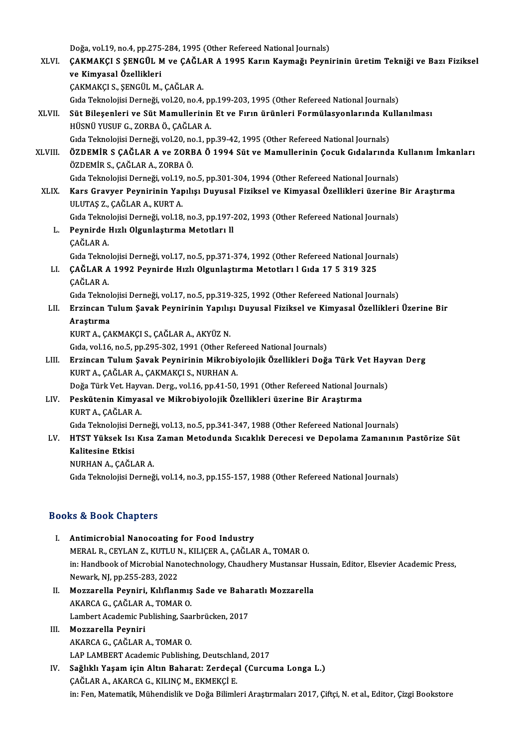|         | Doğa, vol.19, no.4, pp.275-284, 1995 (Other Refereed National Journals)                                                          |
|---------|----------------------------------------------------------------------------------------------------------------------------------|
| XLVI.   | ÇAKMAKÇI S ŞENGÜL M ve ÇAĞLAR A 1995 Karın Kaymağı Peynirinin üretim Tekniği ve Bazı Fiziksel                                    |
|         | ve Kimyasal Özellikleri                                                                                                          |
|         | ÇAKMAKÇI S., ŞENGÜL M., ÇAĞLAR A.                                                                                                |
|         | Gida Teknolojisi Derneği, vol.20, no.4, pp.199-203, 1995 (Other Refereed National Journals)                                      |
| XLVII.  | Süt Bileşenleri ve Süt Mamullerinin Et ve Fırın ürünleri Formülasyonlarında Kullanılması<br>HÜSNÜ YUSUF G., ZORBA Ö., ÇAĞLAR A.  |
|         | Gıda Teknolojisi Derneği, vol.20, no.1, pp.39-42, 1995 (Other Refereed National Journals)                                        |
| XLVIII. | ÖZDEMİR S ÇAĞLAR A ve ZORBA Ö 1994 Süt ve Mamullerinin Çocuk Gıdalarında Kullanım İmkanları<br>ÖZDEMİR S., ÇAĞLAR A., ZORBA Ö.   |
|         | Gida Teknolojisi Derneği, vol.19, no.5, pp.301-304, 1994 (Other Refereed National Journals)                                      |
| XLIX.   | Kars Gravyer Peynirinin Yapılışı Duyusal Fiziksel ve Kimyasal Özellikleri üzerine Bir Araştırma<br>ULUTAȘ Z., ÇAĞLAR A., KURT A. |
|         | Gıda Teknolojisi Derneği, vol.18, no.3, pp.197-202, 1993 (Other Refereed National Journals)                                      |
| L.      | Peynirde Hızlı Olgunlaştırma Metotları II                                                                                        |
|         | <b>CAĞLAR A</b>                                                                                                                  |
|         | Gida Teknolojisi Derneği, vol.17, no.5, pp.371-374, 1992 (Other Refereed National Journals)                                      |
| LI.     | ÇAĞLAR A 1992 Peynirde Hızlı Olgunlaştırma Metotları I Gıda 17 5 319 325                                                         |
|         | ÇAĞLAR A.                                                                                                                        |
|         | Gida Teknolojisi Derneği, vol.17, no.5, pp.319-325, 1992 (Other Refereed National Journals)                                      |
| LII.    | Erzincan Tulum Şavak Peynirinin Yapılışı Duyusal Fiziksel ve Kimyasal Özellikleri Üzerine Bir                                    |
|         | Araştırma                                                                                                                        |
|         | KURT A., ÇAKMAKÇI S., ÇAĞLAR A., AKYÜZ N.                                                                                        |
|         | Gida, vol.16, no.5, pp.295-302, 1991 (Other Refereed National Journals)                                                          |
| LIII.   | Erzincan Tulum Şavak Peynirinin Mikrobiyolojik Özellikleri Doğa Türk Vet Hayvan Derg                                             |
|         | KURT A., ÇAĞLAR A., ÇAKMAKÇI S., NURHAN A.                                                                                       |
|         | Doğa Türk Vet. Hayvan. Derg., vol.16, pp.41-50, 1991 (Other Refereed National Journals)                                          |
| LIV.    | Peskütenin Kimyasal ve Mikrobiyolojik Özellikleri üzerine Bir Araştırma                                                          |
|         | KURT A., ÇAĞLAR A.                                                                                                               |
|         | Gida Teknolojisi Derneği, vol.13, no.5, pp.341-347, 1988 (Other Refereed National Journals)                                      |
| LV.     | HTST Yüksek Isı Kısa Zaman Metodunda Sıcaklık Derecesi ve Depolama Zamanının Pastörize Süt                                       |
|         | Kalitesine Etkisi<br>NURHAN A., ÇAĞLAR A.                                                                                        |
|         |                                                                                                                                  |
|         | Gida Teknolojisi Derneği, vol.14, no.3, pp.155-157, 1988 (Other Refereed National Journals)                                      |

- I. Antimicrobial Nanocoating for Food Industry meral Resources<br>Antimicrobial Nanocoating for Food Industry<br>MERAL R., CEYLAN Z., KUTLU N., KILIÇER A., ÇAĞLAR A., TOMAR O.<br>in: Handbook of Misrobial Nanotochnology. Chaudbory Mustansar in: Handbook of Microbial Nanotechnology, Chaudhery Mustansar Hussain, Editor, Elsevier Academic Press,<br>Newark, NJ, pp.255-283, 2022 MERAL R., CEYLAN Z., KUTLU M<br>in: Handbook of Microbial Nan<br>Newark, NJ, pp.255-283, 2022<br>Mogganalla Bounini, Kiliflan in: Handbook of Microbial Nanotechnology, Chaudhery Mustansar H<br>Newark, NJ, pp.255-283, 2022<br>II. Mozzarella Peyniri, Kılıflanmış Sade ve Baharatlı Mozzarella<br>AKABCA C. CAČLAR A. TOMAR O
- AKARCA G., ÇAĞLAR A., TOMAR O.<br>Lambert Academic Publishing, Saarbrücken, 2017 Mozzarella Peyniri, Kılıflanmış Sade ve Baha<br>AKARCA G., ÇAĞLAR A., TOMAR O.<br>Lambert Academic Publishing, Saarbrücken, 2017<br>Mograrella Bounini
- III. Mozzarella Peyniri AKARCAG.,ÇAĞLARA.,TOMARO. LAP LAMBERT Academic Publishing, Deutschland, 2017
- AKARCA G., ÇAĞLAR A., TOMAR O.<br>LAP LAMBERT Academic Publishing, Deutschland, 2017<br>IV. Sağlıklı Yaşam için Altın Baharat: Zerdeçal (Curcuma Longa L.)<br>CAĞLAR A AKARCA G. KU ING M. EKMEKÇİ E LAP LAMBERT Academic Publishing, Deutschla<br>Sağlıklı Yaşam için Altın Baharat: Zerdeça<br>ÇAĞLAR A., AKARCA G., KILINÇ M., EKMEKÇİ E.<br>in: Ean Matamatik Mühandialikus Doğa Bilimle ÇAĞLAR A., AKARCA G., KILINÇ M., EKMEKÇİ E.<br>in: Fen, Matematik, Mühendislik ve Doğa Bilimleri Araştırmaları 2017, Çiftçi, N. et al., Editor, Çizgi Bookstore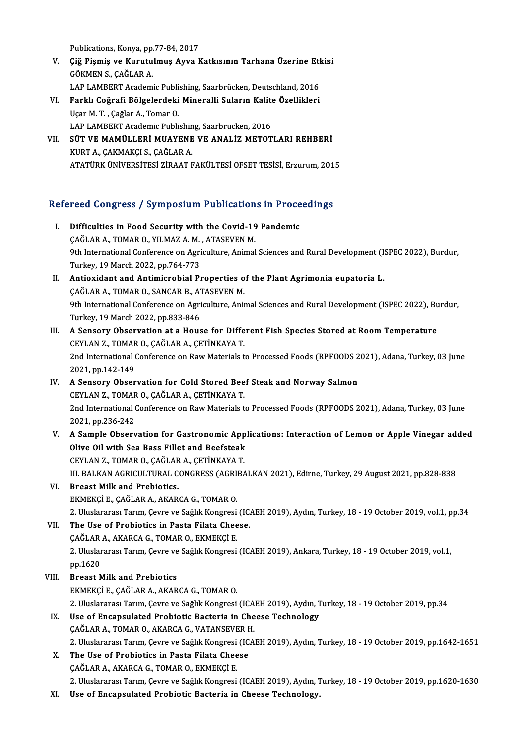Publications, Konya, pp.77-84, 2017<br>Ciž Biamia ve Kunutulmus Avya k

- Publications, Konya, pp.77-84, 2017<br>V. Çiğ Pişmiş ve Kurutulmuş Ayva Katkısının Tarhana Üzerine Etkisi<br>GÖKMEN S. GAČLAR A Publications, Konya, pp.<br>**Çiğ Pişmiş ve Kurutu**<br>GÖKMEN S., ÇAĞLAR A.<br>LAR LAMBERT Asadam Çiğ Pişmiş ve Kurutulmuş Ayva Katkısının Tarhana Üzerine Etl<br>GÖKMEN S., ÇAĞLAR A.<br>LAP LAMBERT Academic Publishing, Saarbrücken, Deutschland, 2016<br>Farkk Coğrafi Bölgelerdeki Mineralli Suların Kalite Özellikleri GÖKMEN S., ÇAĞLAR A.<br>LAP LAMBERT Academic Publishing, Saarbrücken, Deutschland, 2016<br>VI. Farklı Coğrafi Bölgelerdeki Mineralli Suların Kalite Özellikleri<br>User M.T. Coğlar A. Tomar O.
- LAP LAMBERT Academic Publishing, Saarbrücken, Deutschland, 2016<br>Farklı Coğrafi Bölgelerdeki Mineralli Suların Kalite Özellikleri<br>Uçar M. T., Çağlar A., Tomar O.<br>LAP LAMBERT Academic Publishing, Saarbrücken, 2016 Farklı Coğrafi Bölgelerdeki Mineralli Suların Kalit<br>Uçar M. T. , Çağlar A., Tomar O.<br>LAP LAMBERT Academic Publishing, Saarbrücken, 2016<br>SÜT VE MAMÜLLERİ MUAVENE VE ANALİZ METOT Uçar M. T. , Çağlar A., Tomar O.<br>LAP LAMBERT Academic Publishing, Saarbrücken, 2016<br>VII. SÜT VE MAMÜLLERİ MUAYENE VE ANALİZ METOTLARI REHBERİ
- LAP LAMBERT Academic Publishin<br>SÜT VE MAMÜLLERİ MUAYENE<br>KURT A., ÇAKMAKÇI S., ÇAĞLAR A.<br>ATATÜPK ÜNİVERSİTESİ ZIRAAT E KURT A., ÇAKMAKÇI S., ÇAĞLAR A.<br>ATATÜRK ÜNİVERSİTESİ ZİRAAT FAKÜLTESİ OFSET TESİSİ, Erzurum, 2015

# ATATOKK ONIVERSITEST ZIKAAT PAKOLTEST OPSET TESISI, EPZUPUM, 201<br>Refereed Congress / Symposium Publications in Proceedings

efereed Congress / Symposium Publications in Proce<br>I. Difficulties in Food Security with the Covid-19 Pandemic<br>CACLAR A TOMAR O VUMAZ A M ATASEVEN M I. Difficulties in Food Security with the Covid-19 Pandemic<br>CAĞLAR A., TOMAR O., YILMAZ A.M., ATASEVEN M. Difficulties in Food Security with the Covid-19 Pandemic<br>ÇAĞLAR A., TOMAR O., YILMAZ A. M. , ATASEVEN M.<br>9th International Conference on Agriculture, Animal Sciences and Rural Development (ISPEC 2022), Burdur,<br>Turkay 10 Ma CAĞLAR A., TOMAR O., YILMAZ A. M.<br>9th International Conference on Agri<br>Turkey, 19 March 2022, pp.764-773<br>Antioxidant and Antimianabial Pr 9th International Conference on Agriculture, Animal Sciences and Rural Development (I.<br>Turkey, 19 March 2022, pp.764-773<br>II. Antioxidant and Antimicrobial Properties of the Plant Agrimonia eupatoria L. Turkey, 19 March 2022, pp.764-773<br>Antioxidant and Antimicrobial Properties o<br>ÇAĞLAR A., TOMAR O., SANCAR B., ATASEVEN M.<br>9th International Conference on Agriculture Ani II. Antioxidant and Antimicrobial Properties of the Plant Agrimonia eupatoria L.<br>CAĞLAR A., TOMAR O., SANCAR B., ATASEVEN M.<br>9th International Conference on Agriculture, Animal Sciences and Rural Development (ISPEC 2022), CAGLAR A., TOMAR O., SANCAR B., A.<br>9th International Conference on Agri<br>Turkey, 19 March 2022, pp.833-846<br>A Sonsory Obsorvation at a House III. A Sensory Observation at a House for Different Fish Species Stored at Room Temperature CEYLAN Z., TOMAR O., ÇAĞLAR A., ÇETİNKAYA T. A Sensory Observation at a House for Different Fish Species Stored at Room Temperature<br>CEYLAN Z., TOMAR O., ÇAĞLAR A., ÇETİNKAYA T.<br>2nd International Conference on Raw Materials to Processed Foods (RPFOODS 2021), Adana, Tu CEYLAN Z., TOMAR<br>2nd International<br>2021, pp.142-149<br>A Sansary Obser 2nd International Conference on Raw Materials to Processed Foods (RPFOODS 2<br>2021, pp.142-149<br>IV. A Sensory Observation for Cold Stored Beef Steak and Norway Salmon<br>CEVLAN 7, TOMAR O, CAČLAR A, CETINKAVA T 2021, pp.142-149<br>IV. A Sensory Observation for Cold Stored Beef Steak and Norway Salmon<br>CEYLAN Z., TOMAR O., CAĞLAR A., CETİNKAYA T. 2nd International Conference on Raw Materials to Processed Foods (RPFOODS 2021), Adana, Turkey, 03 June 2021,pp.236-242 2nd International Conference on Raw Materials to Processed Foods (RPFOODS 2021), Adana, Turkey, 03 June<br>2021, pp.236-242<br>V. A Sample Observation for Gastronomic Applications: Interaction of Lemon or Apple Vinegar added<br>Oli 2021, pp.236-242<br>A Sample Observation for Gastronomic App<br>Olive Oil with Sea Bass Fillet and Beefsteak<br>CEVLAN 7, TOMAR O, CAČLAR A, CETINKAVA T A Sample Observation for Gastronomic App<br>Olive Oil with Sea Bass Fillet and Beefsteak<br>CEYLAN Z., TOMAR O., ÇAĞLAR A., ÇETİNKAYA T.<br>III BALKAN ACRICULTURAL CONCRESS (ACRIBA Olive Oil with Sea Bass Fillet and Beefsteak<br>CEYLAN Z., TOMAR O., ÇAĞLAR A., ÇETİNKAYA T.<br>III. BALKAN AGRICULTURAL CONGRESS (AGRIBALKAN 2021), Edirne, Turkey, 29 August 2021, pp.828-838 VI. Breast Milk and Prebiotics. EKMEKÇİE.,ÇAĞLARA.,AKARCAG.,TOMARO. 2. Uluslararası Tarım, Çevre ve Sağlık Kongresi (ICAEH 2019), Aydın, Turkey, 18 - 19 October 2019, vol.1, pp.34 VII. The Use of Probiotics in Pasta Filata Cheese. ÇAĞLAR A., AKARCA G., TOMAR O., EKMEKÇİ E. The Use of Probiotics in Pasta Filata Cheese.<br>ÇAĞLAR A., AKARCA G., TOMAR O., EKMEKÇİ E.<br>2. Uluslararası Tarım, Çevre ve Sağlık Kongresi (ICAEH 2019), Ankara, Turkey, 18 - 19 October 2019, vol.1,<br>nn 1620. CAĞLAR<br>2. Uluslar<br>pp.1620<br>Breest A pp.1620<br>VIII. Breast Milk and Prebiotics EKMEKÇİE.,ÇAĞLARA.,AKARCAG.,TOMARO. Breast Milk and Prebiotics<br>EKMEKÇİ E., ÇAĞLAR A., AKARCA G., TOMAR O.<br>2. Uluslararası Tarım, Çevre ve Sağlık Kongresi (ICAEH 2019), Aydın, Turkey, 18 - 19 October 2019, pp.34<br>Has of Enganaulated Probistic Bastaria in Chass IX. Use of Encapsulated Probiotic Bacteria in Cheese Technology<br>CAĞLAR A., TOMAR O., AKARCA G., VATANSEVER H. 2. Uluslararası Tarım, Çevre ve Sağlık Kongresi (ICA<br>Use of Encapsulated Probiotic Bacteria in Che<br>ÇAĞLAR A., TOMAR O., AKARCA G., VATANSEVER H.<br>2. Uluslaranası Tarım *Caura ve Sağ*lık Kongresi (ICA Use of Encapsulated Probiotic Bacteria in Cheese Technology<br>ÇAĞLAR A., TOMAR O., AKARCA G., VATANSEVER H.<br>2. Uluslararası Tarım, Çevre ve Sağlık Kongresi (ICAEH 2019), Aydın, Turkey, 18 - 19 October 2019, pp.1642-1651<br>The X. The Use of Probiotics in Pasta Filata Cheese 2. Uluslararası Tarım, Çevre ve Sağlık Kongresi<br>The Use of Probiotics in Pasta Filata Chee<br>ÇAĞLAR A., AKARCA G., TOMAR O., EKMEKÇİ E.<br>2. Uluslararası Tarım Caure ve Sağlık Kongresi The Use of Probiotics in Pasta Filata Cheese<br>ÇAĞLAR A., AKARCA G., TOMAR O., EKMEKÇİ E.<br>2. Uluslararası Tarım, Çevre ve Sağlık Kongresi (ICAEH 2019), Aydın, Turkey, 18 - 19 October 2019, pp.1620-1630<br>Use of Engenevlated Pr ÇAĞLAR A., AKARCA G., TOMAR O., EKMEKÇİ E.<br>2. Uluslararası Tarım, Çevre ve Sağlık Kongresi (ICAEH 2019), Aydın, 1<br>XI. Use of Encapsulated Probiotic Bacteria in Cheese Technology.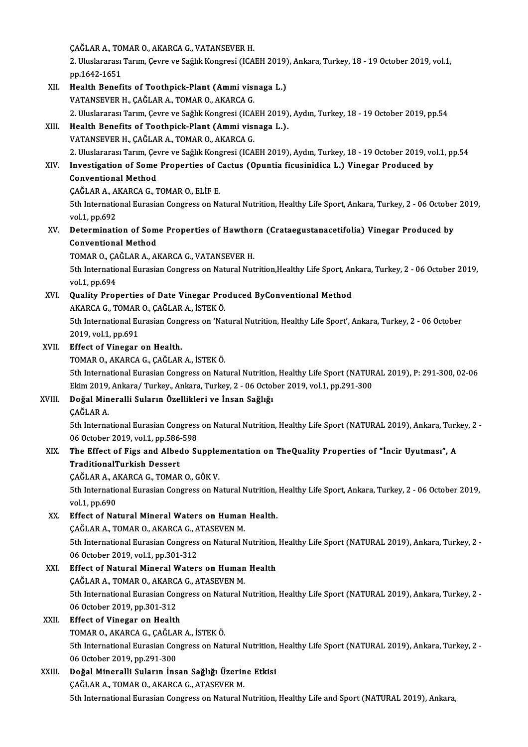CAĞLAR A., TOMAR O., AKARCA G., VATANSEVER H.<br>2. Uluslaransı: Tarım, Caura və Sağlık Konstasi (JCA 2. Uluslararası Tarım, Çevre ve Sağlık Kongresi (ICAEH 2019), Ankara, Turkey, 18 - 19 October 2019, vol.1, pp.1642-1651 ÇAĞLAR A., TO<br>2. Uluslararası<br>pp.1642-1651<br>Health Banefi 2. Uluslararası Tarım, Çevre ve Sağlık Kongresi (ICAEH 2019)<br>pp.1642-1651<br>XII. Health Benefits of Toothpick-Plant (Ammi visnaga L.)<br>VATANEEVER H. GAĞLAR A. TOMAR O. AKARGA G pp.1642-1651<br>Health Benefits of Toothpick-Plant (Ammi visi<br>VATANSEVER H., ÇAĞLAR A., TOMAR O., AKARCA G.<br>2. Uluslaranes: Tarım *Coure ve Sağlık Konstesi (I*CA 2. VATANSEVER H., ÇAĞLAR A., TOMAR O., AKARCA G.<br>2. Uluslararası Tarım, Çevre ve Sağlık Kongresi (ICAEH 2019), Aydın, Turkey, 18 - 19 October 2019, pp.54 VATANSEVER H., ÇAĞLAR A., TOMAR O., AKARCA G.<br>2. Uluslararası Tarım, Çevre ve Sağlık Kongresi (ICAEH 2019)<br>XIII. Health Benefits of Toothpick-Plant (Ammi visnaga L.).<br>VATANSEVER H. CAĞLAR A. TOMAR O. AKARCA C. 2. Uluslararası Tarım, Çevre ve Sağlık Kongresi (ICA<br>Health Benefits of Toothpick-Plant (Ammi visi<br>VATANSEVER H., ÇAĞLAR A., TOMAR O., AKARCA G.<br>2. Uluslararası Tarım Coure ve Sağlık Kongresi (ICA Health Benefits of Toothpick-Plant (Ammi visnaga L.).<br>VATANSEVER H., ÇAĞLAR A., TOMAR O., AKARCA G.<br>2. Uluslararası Tarım, Çevre ve Sağlık Kongresi (ICAEH 2019), Aydın, Turkey, 18 - 19 October 2019, vol.1, pp.54<br>Investigat VATANSEVER H., ÇAĞLAR A., TOMAR O., AKARCA G.<br>2. Uluslararası Tarım, Çevre ve Sağlık Kongresi (ICAEH 2019), Aydın, Turkey, 18 - 19 October 2019, vo<br>XIV. Investigation of Some Properties of Cactus (Opuntia ficusinidica 2. Uluslararası Tarım, Çev<br>Investigation of Some<br>Conventional Method<br>CAČLAB A. AKABCA C. T Investigation of Some Properties of C<br>Conventional Method<br>ÇAĞLAR A., AKARCA G., TOMAR O., ELİF E.<br>Eth International Eurosian Constress on Ne Conventional Method<br>ÇAĞLAR A., AKARCA G., TOMAR O., ELİF E.<br>5th International Eurasian Congress on Natural Nutrition, Healthy Life Sport, Ankara, Turkey, 2 - 06 October 2019,<br>vel 1, pp.692 CAĞLAR A., A.<br>5th Internatio<br>vol.1, pp.692<br>Determinati 5th International Eurasian Congress on Natural Nutrition, Healthy Life Sport, Ankara, Turkey, 2 - 06 October<br>vol.1, pp.692<br>XV. Determination of Some Properties of Hawthorn (Crataegustanacetifolia) Vinegar Produced by<br>Conve vol.1, pp.692<br>Determination of Som<br>Conventional Method<br>TOMAR O. CAČLAR A. Al Determination of Some Properties of Hawthol<br>Conventional Method<br>TOMAR O., ÇAĞLAR A., AKARCA G., VATANSEVER H.<br>Eth International Euresian Consress on Natural Nut 6th International Method<br>TOMAR O., ÇAĞLAR A., AKARCA G., VATANSEVER H.<br>5th International Eurasian Congress on Natural Nutrition,Healthy Life Sport, Ankara, Turkey, 2 - 06 October 2019,<br>vol.1, pp.694 TOMAR O., ÇAĞLAR A., AKARCA G., VATANSEVER H. 5th International Eurasian Congress on Natural Nutrition, Healthy Life Sport, An<br>vol.1, pp.694<br>XVI. Quality Properties of Date Vinegar Produced ByConventional Method<br>AMARCA G. TOMAR O. GAČLAR A. ISTEM Ö. vol.1, pp.694<br>Quality Properties of Date Vinegar Pro<br>AKARCA G., TOMAR O., ÇAĞLAR A., İSTEK Ö.<br>Eth International Euresian Congress en 'Nat 5th International Eurasian Congress on 'Natural Nutrition, Healthy Life Sport', Ankara, Turkey, 2 - 06 October<br>2019, vol.1, pp.691 AKARCA G., TOMAR O., ÇAĞLAR A., İSTEK Ö. XVII. Effect of Vinegar on Health. TOMARO.,AKARCAG.,ÇAĞLARA., İSTEKÖ. Effect of Vinegar on Health.<br>TOMAR O., AKARCA G., ÇAĞLAR A., İSTEK Ö.<br>5th International Eurasian Congress on Natural Nutrition, Healthy Life Sport (NATURAL 2019), P: 291-300, 02-06<br>Flim 2019, Ankara (Turkay, Ankara Turkay, TOMAR O., AKARCA G., ÇAĞLAR A., İSTEK Ö.<br>5th International Eurasian Congress on Natural Nutrition, Healthy Life Sport (NATUR<br>Ekim 2019, Ankara/ Turkey., Ankara, Turkey, 2 - 06 October 2019, vol.1, pp.291-300<br>Doğal Minerall XVIII. Doğal Mineralli Suların Özellikleri ve İnsan Sağlığı<br>CAĞLAR A. Ekim 2019, Ankara/Turkey., Ankara, Turkey, 2 - 06 October 2019, vol.1, pp 291-300 Doğal Mineralli Suların Özellikleri ve İnsan Sağlığı<br>ÇAĞLAR A.<br>5th International Eurasian Congress on Natural Nutrition, Healthy Life Sport (NATURAL 2019), Ankara, Turkey, 2<br>06 Osteber 2019, vel 1. rr 586 508 CAĞLAR A.<br>5th International Eurasian Congress<br>06 October 2019, vol.1, pp.586-598<br>The Effect of Fire and Albade S. 5th International Eurasian Congress on Natural Nutrition, Healthy Life Sport (NATURAL 2019), Ankara, Turk<br>06 October 2019, vol.1, pp.586-598<br>XIX. The Effect of Figs and Albedo Supplementation on TheQuality Properties of "İ 06 October 2019, vol.1, pp.586<br>The Effect of Figs and Albee<br>TraditionalTurkish Dessert The Effect of Figs and Albedo Supple:<br>TraditionalTurkish Dessert<br>ÇAĞLAR A., AKARCA G., TOMAR O., GÖK V.<br>Eth International Eurosian Congress on N. TraditionalTurkish Dessert<br>ÇAĞLAR A., AKARCA G., TOMAR O., GÖK V.<br>5th International Eurasian Congress on Natural Nutrition, Healthy Life Sport, Ankara, Turkey, 2 - 06 October 2019,<br>vol.1. pp.690 ÇAĞLAR A., AKARCA G., TOMAR O., GÖK V. XX. Effect of Natural Mineral Waters on Human Health. vol.1, pp.690<br>Effect of Natural Mineral Waters on Human<br>ÇAĞLAR A., TOMAR O., AKARCA G., ATASEVEN M.<br>Eth International Euresian Congress on Natural N 5th International Eurasian Congress on Natural Nutrition, Healthy Life Sport (NATURAL 2019), Ankara, Turkey, 2 -<br>06 October 2019, vol.1, pp.301-312 CAĞLAR A., TOMAR O., AKARCA G., A<br>5th International Eurasian Congress<br>06 October 2019, vol.1, pp.301-312<br>Effect of Natural Mineral Water 5th International Eurasian Congress on Natural Nutrition,<br>06 October 2019, vol.1, pp.301-312<br>XXI. Effect of Natural Mineral Waters on Human Health<br> $CACHABA$  TOMAR O AKARGA G ATASEVEN M 06 October 2019, vol.1, pp.301-312<br>Effect of Natural Mineral Waters on Human<br>ÇAĞLAR A., TOMAR O., AKARCA G., ATASEVEN M.<br>Eth International Euresian Congress on Natural N Effect of Natural Mineral Waters on Human Health<br>ÇAĞLAR A., TOMAR O., AKARCA G., ATASEVEN M.<br>5th International Eurasian Congress on Natural Nutrition, Healthy Life Sport (NATURAL 2019), Ankara, Turkey, 2<br>06 Osteber 2019, p CAĞLAR A., TOMAR O., AKARC.<br>5th International Eurasian Cor<br>06 October 2019, pp.301-312<br>Effect of Vineger on Health 5th International Eurasian Cong<br>06 October 2019, pp.301-312<br>XXII. Effect of Vinegar on Health<br>TOMAR O AKARCA C CAČLAR 06 October 2019, pp.301-312<br>Effect of Vinegar on Health<br>TOMAR O., AKARCA G., ÇAĞLAR A., İSTEK Ö.<br>Eth International Euresian Congress on Not Effect of Vinegar on Health<br>TOMAR O., AKARCA G., ÇAĞLAR A., İSTEK Ö.<br>5th International Eurasian Congress on Natural Nutrition, Healthy Life Sport (NATURAL 2019), Ankara, Turkey, 2<br>06 Osteber 2019, pp.291, 200 TOMAR O., AKARCA G., ÇAĞLA<br>5th International Eurasian Cor<br>06 October 2019, pp.291-300<br>Dožal Mineralli Suların İnc 5th International Eurasian Congress on Natural Nutrition,<br>06 October 2019, pp.291-300<br>XXIII. Doğal Mineralli Suların İnsan Sağlığı Üzerine Etkisi 06 October 2019, pp.291-300<br>Doğal Mineralli Suların İnsan Sağlığı Üzerine Etkisi<br>ÇAĞLAR A., TOMAR O., AKARCA G., ATASEVER M.

5th International Eurasian Congress on Natural Nutrition, Healthy Life and Sport (NATURAL 2019), Ankara,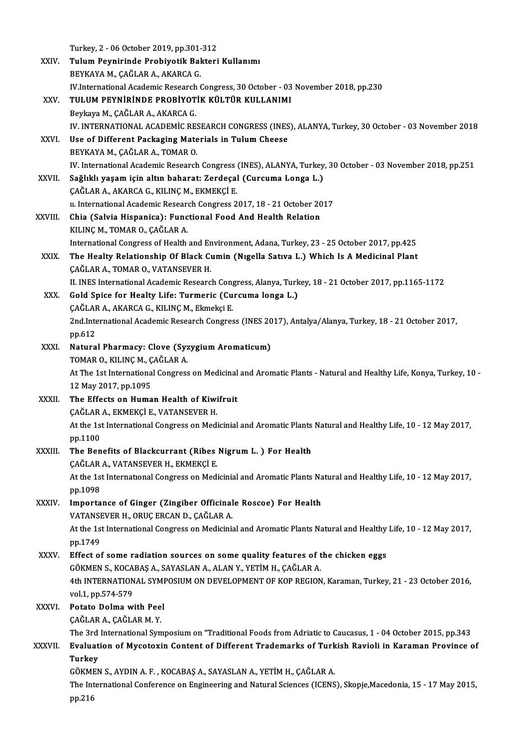Turkey, 2 - 06 October 2019, pp.301-312<br>Tulum Bounininde Probiustik Bakteri

|              | Turkey, 2 - 06 October 2019, pp.301-312                                                                                                    |
|--------------|--------------------------------------------------------------------------------------------------------------------------------------------|
| XXIV.        | Tulum Peynirinde Probiyotik Bakteri Kullanımı                                                                                              |
|              | BEYKAYA M., ÇAĞLAR A., AKARCA G.                                                                                                           |
|              | IV.International Academic Research Congress, 30 October - 03 November 2018, pp.230                                                         |
| XXV.         | TULUM PEYNİRİNDE PROBİYOTİK KÜLTÜR KULLANIMI                                                                                               |
|              | Beykaya M., ÇAĞLAR A., AKARCA G.                                                                                                           |
|              | IV. INTERNATIONAL ACADEMIC RESEARCH CONGRESS (INES), ALANYA, Turkey, 30 October - 03 November 2018                                         |
| XXVI.        | Use of Different Packaging Materials in Tulum Cheese                                                                                       |
|              | BEYKAYA M., ÇAĞLAR A., TOMAR O.                                                                                                            |
|              | IV. International Academic Research Congress (INES), ALANYA, Turkey, 30 October - 03 November 2018, pp.251                                 |
| XXVII.       | Sağlıklı yaşam için altın baharat: Zerdeçal (Curcuma Longa L.)                                                                             |
|              | ÇAĞLAR A., AKARCA G., KILINÇ M., EKMEKÇİ E.                                                                                                |
|              | u. International Academic Research Congress 2017, 18 - 21 October 2017                                                                     |
| XXVIII.      | Chia (Salvia Hispanica): Functional Food And Health Relation                                                                               |
|              | KILINÇ M., TOMAR O., ÇAĞLAR A.                                                                                                             |
|              | International Congress of Health and Environment, Adana, Turkey, 23 - 25 October 2017, pp.425                                              |
| XXIX.        | The Healty Relationship Of Black Cumin (Nigella Sativa L.) Which Is A Medicinal Plant                                                      |
|              | ÇAĞLAR A., TOMAR O., VATANSEVER H.                                                                                                         |
|              | II. INES International Academic Research Congress, Alanya, Turkey, 18 - 21 October 2017, pp.1165-1172                                      |
| XXX.         | Gold Spice for Healty Life: Turmeric (Curcuma longa L.)                                                                                    |
|              | ÇAĞLAR A., AKARCA G., KILINÇ M., Ekmekçi E.                                                                                                |
|              | 2nd.International Academic Research Congress (INES 2017), Antalya/Alanya, Turkey, 18 - 21 October 2017,                                    |
|              | pp.612                                                                                                                                     |
| XXXI.        | Natural Pharmacy: Clove (Syzygium Aromaticum)                                                                                              |
|              | TOMAR O., KILINÇ M., ÇAĞLAR A.                                                                                                             |
|              | At The 1st International Congress on Medicinal and Aromatic Plants - Natural and Healthy Life, Konya, Turkey, 10 -<br>12 May 2017, pp 1095 |
| <b>XXXII</b> | The Effects on Human Health of Kiwifruit                                                                                                   |
|              | ÇAĞLAR A., EKMEKÇİ E., VATANSEVER H.                                                                                                       |
|              | At the 1st International Congress on Medicinial and Aromatic Plants Natural and Healthy Life, 10 - 12 May 2017,                            |
|              | pp 1100                                                                                                                                    |
| XXXIII.      | The Benefits of Blackcurrant (Ribes Nigrum L.) For Health                                                                                  |
|              | ÇAĞLAR A., VATANSEVER H., EKMEKÇİ E.                                                                                                       |
|              | At the 1st International Congress on Medicinial and Aromatic Plants Natural and Healthy Life, 10 - 12 May 2017,                            |
|              | pp.1098                                                                                                                                    |
| <b>XXXIV</b> | Importance of Ginger (Zingiber Officinale Roscoe) For Health                                                                               |
|              | VATANSEVER H., ORUÇ ERCAN D., ÇAĞLAR A.                                                                                                    |
|              | At the 1st International Congress on Medicinial and Aromatic Plants Natural and Healthy Life, 10 - 12 May 2017,                            |
|              | pp 1749                                                                                                                                    |
| XXXV.        | Effect of some radiation sources on some quality features of the chicken eggs                                                              |
|              | GÖKMEN S., KOCABAŞ A., SAYASLAN A., ALAN Y., YETİM H., ÇAĞLAR A.                                                                           |
|              | 4th INTERNATIONAL SYMPOSIUM ON DEVELOPMENT OF KOP REGION, Karaman, Turkey, 21 - 23 October 2016,                                           |
|              | vol 1, pp 574-579                                                                                                                          |
| <b>XXXVI</b> | Potato Dolma with Peel                                                                                                                     |
|              | ÇAĞLAR A., ÇAĞLAR M. Y.                                                                                                                    |
|              | The 3rd International Symposium on "Traditional Foods from Adriatic to Caucasus, 1 - 04 October 2015, pp.343                               |
| XXXVII.      | Evaluation of Mycotoxin Content of Different Trademarks of Turkish Ravioli in Karaman Province of                                          |
|              | <b>Turkey</b>                                                                                                                              |
|              | GÖKMEN S., AYDIN A. F., KOCABAŞ A., SAYASLAN A., YETİM H., ÇAĞLAR A.                                                                       |
|              | The International Conference on Engineering and Natural Sciences (ICENS), Skopje, Macedonia, 15 - 17 May 2015,                             |
|              | pp 216                                                                                                                                     |
|              |                                                                                                                                            |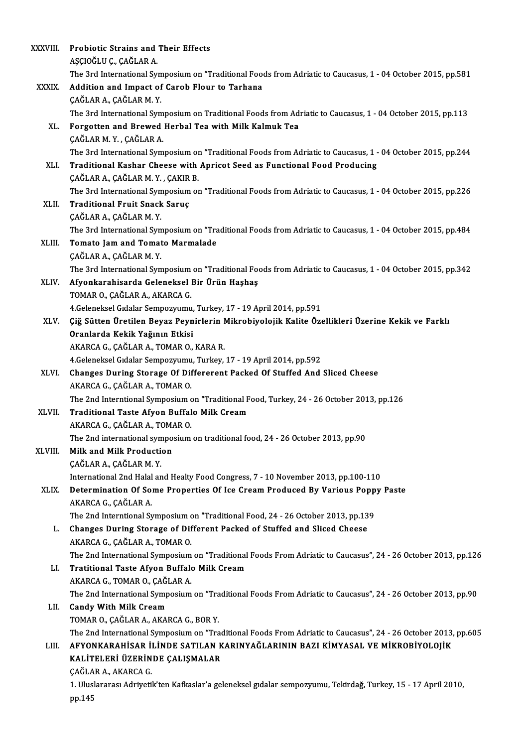| XXXVIII.     | Probiotic Strains and Their Effects                                                                            |
|--------------|----------------------------------------------------------------------------------------------------------------|
|              | AŞÇIOĞLU Ç., ÇAĞLAR A.                                                                                         |
|              | The 3rd International Symposium on "Traditional Foods from Adriatic to Caucasus, 1 - 04 October 2015, pp.581   |
| <b>XXXIX</b> | Addition and Impact of Carob Flour to Tarhana                                                                  |
|              | ÇAĞLAR A., ÇAĞLAR M.Y.                                                                                         |
|              | The 3rd International Symposium on Traditional Foods from Adriatic to Caucasus, 1 - 04 October 2015, pp.113    |
| XL.          | Forgotten and Brewed Herbal Tea with Milk Kalmuk Tea                                                           |
|              | ÇAĞLAR M.Y., ÇAĞLAR A.                                                                                         |
|              | The 3rd International Symposium on "Traditional Foods from Adriatic to Caucasus, 1 - 04 October 2015, pp.244   |
| XLI.         | Traditional Kashar Cheese with Apricot Seed as Functional Food Producing                                       |
|              | ÇAĞLAR A, ÇAĞLAR M.Y., ÇAKIR B.                                                                                |
|              | The 3rd International Symposium on "Traditional Foods from Adriatic to Caucasus, 1 - 04 October 2015, pp.226   |
| XLII.        | <b>Traditional Fruit Snack Saruc</b>                                                                           |
|              | ÇAĞLAR A, ÇAĞLAR M Y                                                                                           |
|              | The 3rd International Symposium on "Traditional Foods from Adriatic to Caucasus, 1 - 04 October 2015, pp.484   |
| XLIII.       | Tomato Jam and Tomato Marmalade                                                                                |
|              | ÇAĞLAR A., ÇAĞLAR M. Y.                                                                                        |
|              | The 3rd International Symposium on "Traditional Foods from Adriatic to Caucasus, 1 - 04 October 2015, pp.342   |
| XLIV.        | Afyonkarahisarda Geleneksel Bir Ürün Haşhaş                                                                    |
|              | TOMAR O., ÇAĞLAR A., AKARCA G.                                                                                 |
|              | 4. Geleneksel Gıdalar Sempozyumu, Turkey, 17 - 19 April 2014, pp.591                                           |
| XLV.         | Çiğ Sütten Üretilen Beyaz Peynirlerin Mikrobiyolojik Kalite Özellikleri Üzerine Kekik ve Farklı                |
|              | Oranlarda Kekik Yağının Etkisi                                                                                 |
|              | AKARCA G., ÇAĞLAR A., TOMAR O., KARA R.                                                                        |
|              | 4 Geleneksel Gıdalar Sempozyumu, Turkey, 17 - 19 April 2014, pp.592                                            |
| XLVI.        | Changes During Storage Of Differerent Packed Of Stuffed And Sliced Cheese                                      |
|              | AKARCA G., ÇAĞLAR A., TOMAR O.                                                                                 |
|              | The 2nd Interntional Symposium on "Traditional Food, Turkey, 24 - 26 October 2013, pp.126                      |
| XLVII.       | Traditional Taste Afvon Buffalo Milk Cream                                                                     |
|              | AKARCA G., ÇAĞLAR A., TOMAR O.                                                                                 |
|              | The 2nd international symposium on traditional food, 24 - 26 October 2013, pp 90                               |
| XLVIII.      | Milk and Milk Production                                                                                       |
|              | ÇAĞLAR A., ÇAĞLAR M. Y.                                                                                        |
|              | International 2nd Halal and Healty Food Congress, 7 - 10 November 2013, pp.100-110                             |
| XLIX.        | Determination Of Some Properties Of Ice Cream Produced By Various Poppy Paste                                  |
|              | AKARCA G., ÇAĞLAR A.                                                                                           |
|              | The 2nd Interntional Symposium on "Traditional Food, 24 - 26 October 2013, pp.139                              |
| L.           | Changes During Storage of Different Packed of Stuffed and Sliced Cheese                                        |
|              | AKARCA G., ÇAĞLAR A., TOMAR O.                                                                                 |
|              | The 2nd International Symposium on "Traditional Foods From Adriatic to Caucasus", 24 - 26 October 2013, pp.126 |
| LI.          | Tratitional Taste Afyon Buffalo Milk Cream                                                                     |
|              | AKARCA G., TOMAR O., ÇAĞLAR A.                                                                                 |
|              | The 2nd International Symposium on "Traditional Foods From Adriatic to Caucasus", 24 - 26 October 2013, pp.90  |
| LII.         | <b>Candy With Milk Cream</b>                                                                                   |
|              | TOMAR O., CAĞLAR A., AKARCA G., BOR Y.                                                                         |
|              | The 2nd International Symposium on "Traditional Foods From Adriatic to Caucasus", 24 - 26 October 2013, pp.605 |
| LIII.        | AFYONKARAHISAR ILINDE SATILAN KARINYAĞLARININ BAZI KİMYASAL VE MİKROBİYOLOJİK                                  |
|              | KALİTELERİ ÜZERİNDE ÇALIŞMALAR                                                                                 |
|              | ÇAĞLAR A., AKARCA G.                                                                                           |
|              | 1. Uluslararası Adriyetik'ten Kafkaslar'a geleneksel gıdalar sempozyumu, Tekirdağ, Turkey, 15 - 17 April 2010, |
|              | pp.145                                                                                                         |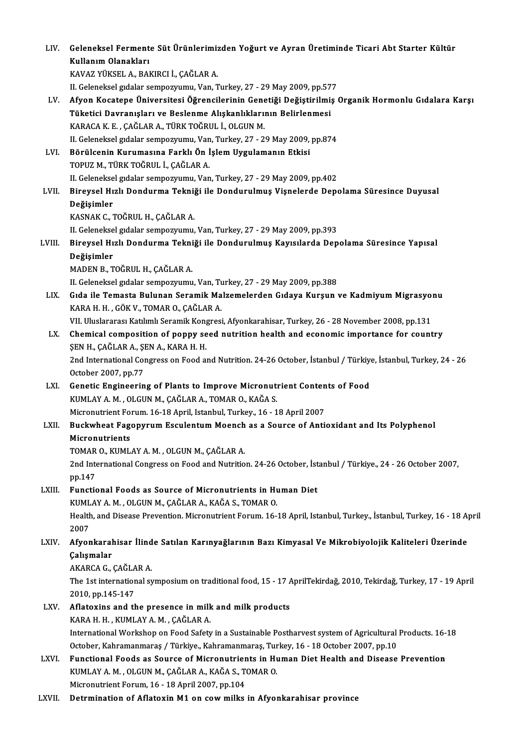| LIV.   | Geleneksel Fermente Süt Ürünlerimizden Yoğurt ve Ayran Üretiminde Ticari Abt Starter Kültür                          |
|--------|----------------------------------------------------------------------------------------------------------------------|
|        | Kullanım Olanakları                                                                                                  |
|        | KAVAZ YÜKSEL A., BAKIRCI İ., ÇAĞLAR A.                                                                               |
|        | II. Geleneksel gıdalar sempozyumu, Van, Turkey, 27 - 29 May 2009, pp.577                                             |
| LV.    | Afyon Kocatepe Üniversitesi Öğrencilerinin Genetiği Değiştirilmiş Organik Hormonlu Gıdalara Karşı                    |
|        | Tüketici Davranışları ve Beslenme Alışkanlıklarının Belirlenmesi                                                     |
|        | KARACA K. E., ÇAĞLAR A., TÜRK TOĞRUL İ., OLGUN M.                                                                    |
|        | II. Geleneksel gıdalar sempozyumu, Van, Turkey, 27 - 29 May 2009, pp.874                                             |
| LVI.   | Börülcenin Kurumasına Farklı Ön İşlem Uygulamanın Etkisi                                                             |
|        | TOPUZ M., TÜRK TOĞRUL İ., ÇAĞLAR A.                                                                                  |
|        | II. Geleneksel gıdalar sempozyumu, Van, Turkey, 27 - 29 May 2009, pp.402                                             |
| LVII.  | Bireysel Hızlı Dondurma Tekniği ile Dondurulmuş Vişnelerde Depolama Süresince Duyusal                                |
|        | Değişimler                                                                                                           |
|        | KASNAK C., TOĞRUL H., ÇAĞLAR A.                                                                                      |
|        | II. Geleneksel gıdalar sempozyumu, Van, Turkey, 27 - 29 May 2009, pp.393                                             |
| LVIII. | Bireysel Hızlı Dondurma Tekniği ile Dondurulmuş Kayısılarda Depolama Süresince Yapısal                               |
|        | Değişimler                                                                                                           |
|        | MADEN B., TOĞRUL H., ÇAĞLAR A.                                                                                       |
|        | II. Geleneksel gıdalar sempozyumu, Van, Turkey, 27 - 29 May 2009, pp.388                                             |
| LIX.   | Gıda ile Temasta Bulunan Seramik Malzemelerden Gıdaya Kurşun ve Kadmiyum Migrasyonu                                  |
|        | KARA H. H., GÖK V., TOMAR O., ÇAĞLAR A.                                                                              |
|        | VII. Uluslararası Katılımlı Seramik Kongresi, Afyonkarahisar, Turkey, 26 - 28 November 2008, pp.131                  |
| LX.    | Chemical composition of poppy seed nutrition health and economic importance for country                              |
|        | ŞEN H., ÇAĞLAR A., ŞEN A., KARA H. H.                                                                                |
|        | 2nd International Congress on Food and Nutrition. 24-26 October, İstanbul / Türkiye, İstanbul, Turkey, 24 - 26       |
|        | October 2007, pp.77                                                                                                  |
| LXI.   | Genetic Engineering of Plants to Improve Micronutrient Contents of Food                                              |
|        | KUMLAY A. M., OLGUN M., ÇAĞLAR A., TOMAR O., KAĞA S.                                                                 |
|        | Micronutrient Forum. 16-18 April, Istanbul, Turkey., 16 - 18 April 2007                                              |
| LXII.  | Buckwheat Fagopyrum Esculentum Moench as a Source of Antioxidant and Its Polyphenol                                  |
|        | Micronutrients                                                                                                       |
|        | TOMAR O., KUMLAY A. M., OLGUN M., ÇAĞLAR A.                                                                          |
|        | 2nd International Congress on Food and Nutrition. 24-26 October, İstanbul / Türkiye., 24 - 26 October 2007,          |
|        | pp 147                                                                                                               |
| LXIII. | Functional Foods as Source of Micronutrients in Human Diet                                                           |
|        | KUMLAY A. M., OLGUN M., ÇAĞLAR A., KAĞA S., TOMAR O.                                                                 |
|        | Health, and Disease Prevention. Micronutrient Forum. 16-18 April, Istanbul, Turkey., İstanbul, Turkey, 16 - 18 April |
|        | 2007                                                                                                                 |
| LXIV.  | Afyonkarahisar İlinde Satılan Karınyağlarının Bazı Kimyasal Ve Mikrobiyolojik Kaliteleri Üzerinde                    |
|        | Çalışmalar                                                                                                           |
|        | AKARCA G., ÇAĞLAR A.                                                                                                 |
|        | The 1st international symposium on traditional food, 15 - 17 AprilTekirdağ, 2010, Tekirdağ, Turkey, 17 - 19 April    |
|        | 2010, pp 145-147                                                                                                     |
| LXV.   | Aflatoxins and the presence in milk and milk products                                                                |
|        | KARA H. H., KUMLAY A. M., ÇAĞLAR A.                                                                                  |
|        | International Workshop on Food Safety in a Sustainable Postharvest system of Agricultural Products. 16-18            |
|        | October, Kahramanmaraş / Türkiye., Kahramanmaraş, Turkey, 16 - 18 October 2007, pp.10                                |
| LXVI.  | Functional Foods as Source of Micronutrients in Human Diet Health and Disease Prevention                             |
|        | KUMLAY A. M., OLGUN M., ÇAĞLAR A., KAĞA S., TOMAR O.                                                                 |
|        | Micronutrient Forum, 16 - 18 April 2007, pp.104                                                                      |
| LXVII. | Detrmination of Aflatoxin M1 on cow milks in Afyonkarahisar province                                                 |
|        |                                                                                                                      |